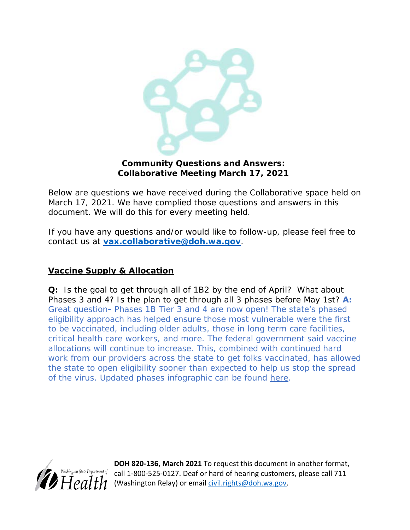

**Community Questions and Answers: Collaborative Meeting March 17, 2021**

Below are questions we have received during the Collaborative space held on March 17, 2021. We have complied those questions and answers in this document. We will do this for every meeting held.

If you have any questions and/or would like to follow-up, please feel free to contact us at **[vax.collaborative@doh.wa.gov](mailto:vax.collaborative@doh.wa.gov)***.*

## **Vaccine Supply & Allocation**

**Q:** Is the goal to get through all of 1B2 by the end of April? What about Phases 3 and 4? Is the plan to get through all 3 phases before May 1st? **A:** Great question**-** Phases 1B Tier 3 and 4 are now open! The state's phased eligibility approach has helped ensure those most vulnerable were the first to be vaccinated, including older adults, those in long term care facilities, critical health care workers, and more. The federal government said vaccine allocations will continue to increase. This, combined with continued hard work from our providers across the state to get folks vaccinated, has allowed the state to open eligibility sooner than expected to help us stop the spread of the virus. Updated phases infographic can be found [here.](https://www.doh.wa.gov/Portals/1/Documents/1600/coronavirus/VaccinationPhasesInfographic.pdf)



**DOH 820-136, March 2021** To request this document in another format,  $\frac{Walshington State Department of}{2}$  call 1-800-525-0127. Deaf or hard of hearing customers, please call 711 (Washington Relay) or email [civil.rights@doh.wa.gov.](mailto:civil.rights@doh.wa.gov)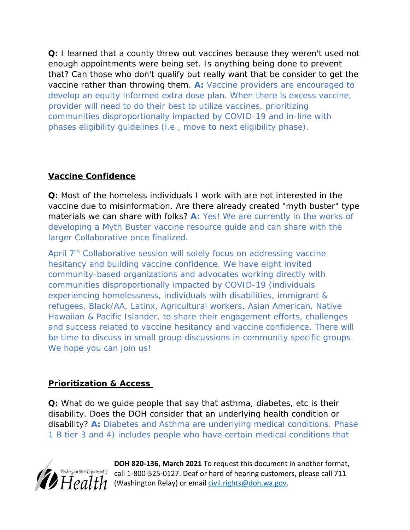**Q:** I learned that a county threw out vaccines because they weren't used not enough appointments were being set. Is anything being done to prevent that? Can those who don't qualify but really want that be consider to get the vaccine rather than throwing them. **A:** Vaccine providers are encouraged to develop an equity informed extra dose plan. When there is excess vaccine, provider will need to do their best to utilize vaccines, prioritizing communities disproportionally impacted by COVID-19 and in-line with phases eligibility guidelines (i.e., move to next eligibility phase).

## **Vaccine Confidence**

**Q:** Most of the homeless individuals I work with are not interested in the vaccine due to misinformation. Are there already created "myth buster" type materials we can share with folks? **A:** Yes! We are currently in the works of developing a Myth Buster vaccine resource guide and can share with the larger Collaborative once finalized.

April 7<sup>th</sup> Collaborative session will solely focus on addressing vaccine hesitancy and building vaccine confidence. We have eight invited community-based organizations and advocates working directly with communities disproportionally impacted by COVID-19 (individuals experiencing homelessness, individuals with disabilities, immigrant & refugees, Black/AA, Latinx, Agricultural workers, Asian American, Native Hawaiian & Pacific Islander, to share their engagement efforts, challenges and success related to vaccine hesitancy and vaccine confidence. There will be time to discuss in small group discussions in community specific groups. We hope you can join us!

## **Prioritization & Access**

**Q:** What do we guide people that say that asthma, diabetes, etc is their disability. Does the DOH consider that an underlying health condition or disability? **A:** Diabetes and Asthma are underlying medical conditions. Phase 1 B tier 3 and 4) includes people who have certain medical conditions that



**DOH 820-136, March 2021** To request this document in another format, call 1-800-525-0127. Deaf or hard of hearing customers, please call 711 (Washington Relay) or email [civil.rights@doh.wa.gov.](mailto:civil.rights@doh.wa.gov)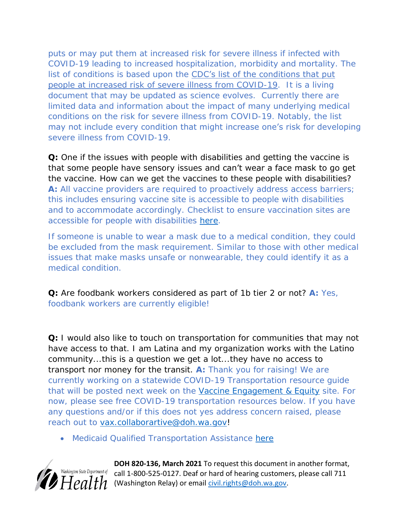puts or may put them at increased risk for severe illness if infected with COVID-19 leading to increased hospitalization, morbidity and mortality. The list of conditions is based upon the CDC's list of the conditions that put [people at increased risk of severe illness from COVID-19.](https://gcc02.safelinks.protection.outlook.com/?url=https%3A%2F%2Fwww.cdc.gov%2Fcoronavirus%2F2019-ncov%2Fneed-extra-precautions%2Fpeople-with-medical-conditions.html&data=04%7C01%7Cfathiya.abdi%40doh.wa.gov%7Cb350711e444947838b5d08d8f3d733f5%7C11d0e217264e400a8ba057dcc127d72d%7C0%7C0%7C637527452897527621%7CUnknown%7CTWFpbGZsb3d8eyJWIjoiMC4wLjAwMDAiLCJQIjoiV2luMzIiLCJBTiI6Ik1haWwiLCJXVCI6Mn0%3D%7C1000&sdata=z%2FUu9kagURC%2FiHVMIv51zOMsRJcq%2Ftt0yBg4foVnD9A%3D&reserved=0) It is a living document that may be updated as science evolves. Currently there are limited data and information about the impact of many underlying medical conditions on the risk for severe illness from COVID-19. Notably, the list may not include every condition that might increase one's risk for developing severe illness from COVID-19.

**Q:** One if the issues with people with disabilities and getting the vaccine is that some people have sensory issues and can't wear a face mask to go get the vaccine. How can we get the vaccines to these people with disabilities? **A:** All vaccine providers are required to proactively address access barriers; this includes ensuring vaccine site is accessible to people with disabilities and to accommodate accordingly. Checklist to ensure vaccination sites are accessible for people with disabilities [here](https://disasterstrategies.org/wp-content/uploads/2021/03/WA-DOH-Access-Checklist-for-Vaccination-Sites.pdf).

If someone is unable to wear a mask due to a medical condition, they could be excluded from the mask requirement. Similar to those with other medical issues that make masks unsafe or nonwearable, they could identify it as a medical condition.

**Q:** Are foodbank workers considered as part of 1b tier 2 or not? **A:** Yes, foodbank workers are currently eligible!

**Q:** I would also like to touch on transportation for communities that may not have access to that. I am Latina and my organization works with the Latino community...this is a question we get a lot...they have no access to transport nor money for the transit. **A:** Thank you for raising! We are currently working on a statewide COVID-19 Transportation resource guide that will be posted next week on the [Vaccine Engagement & Equity](https://www.doh.wa.gov/Emergencies/COVID19/VaccineInformation/Engagement) site. For now, please see free COVID-19 transportation resources below. If you have any questions and/or if this does not yes address concern raised, please reach out to [vax.collaborartive@doh.wa.gov!](mailto:vax.collaborartive@doh.wa.gov)

Medicaid Qualified Transportation Assistance [here](https://www.hca.wa.gov/health-care-services-supports/apple-health-medicaid-coverage/transportation-services-non-emergency#:~:text=Transportation%20services%20%28nonemergency%29%20Health%20Care%20Authority%20%28HCA%29%20covers,medical%20assistance%20programs%20that%20include%20a%20transportation%20benefit.)



**DOH 820-136, March 2021** To request this document in another format,  $\frac{W_{\text{dS}kining ton State Department of}}{P_{\text{dS}kington State Department of}}$  call 1-800-525-0127. Deaf or hard of hearing customers, please call 711  $\overline{H}$  $\overline{\rho}$  $\overline{d}$   $\overline{th}$  (Washington Relay) or email *civil.rights@doh.wa.gov.*